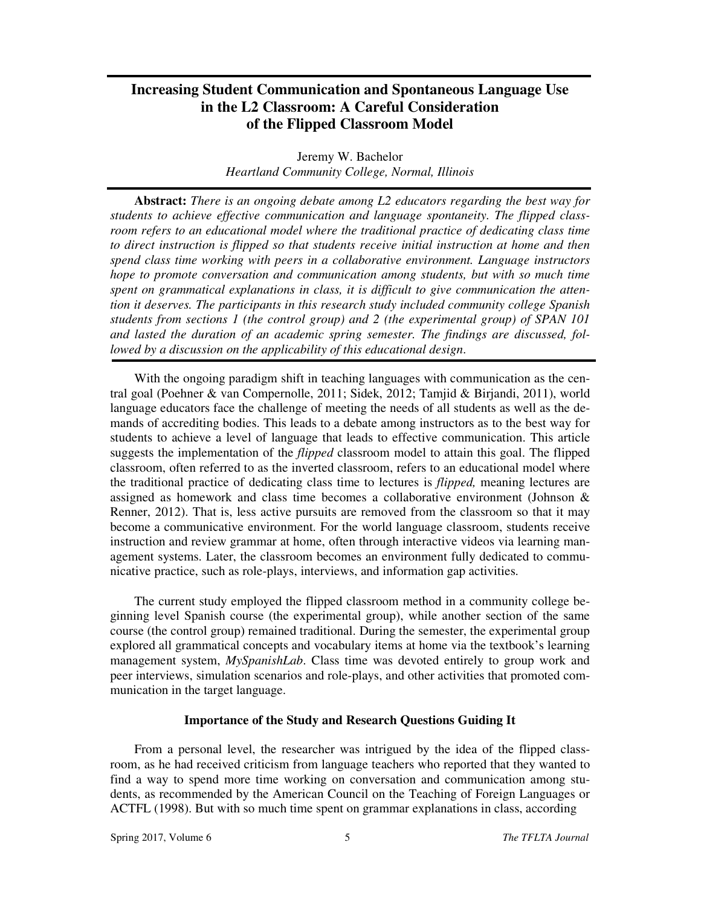# **Increasing Student Communication and Spontaneous Language Use in the L2 Classroom: A Careful Consideration of the Flipped Classroom Model**

Jeremy W. Bachelor *Heartland Community College, Normal, Illinois* 

**Abstract:** *There is an ongoing debate among L2 educators regarding the best way for students to achieve effective communication and language spontaneity. The flipped classroom refers to an educational model where the traditional practice of dedicating class time* to direct instruction is flipped so that students receive initial instruction at home and then *spend class time working with peers in a collaborative environment. Language instructors hope to promote conversation and communication among students, but with so much time spent on grammatical explanations in class, it is difficult to give communication the attention it deserves. The participants in this research study included community college Spanish students from sections 1 (the control group) and 2 (the experimental group) of SPAN 101 and lasted the duration of an academic spring semester. The findings are discussed, followed by a discussion on the applicability of this educational design*.

With the ongoing paradigm shift in teaching languages with communication as the central goal (Poehner & van Compernolle, 2011; Sidek, 2012; Tamjid & Birjandi, 2011), world language educators face the challenge of meeting the needs of all students as well as the demands of accrediting bodies. This leads to a debate among instructors as to the best way for students to achieve a level of language that leads to effective communication. This article suggests the implementation of the *flipped* classroom model to attain this goal. The flipped classroom, often referred to as the inverted classroom, refers to an educational model where the traditional practice of dedicating class time to lectures is *flipped,* meaning lectures are assigned as homework and class time becomes a collaborative environment (Johnson & Renner, 2012). That is, less active pursuits are removed from the classroom so that it may become a communicative environment. For the world language classroom, students receive instruction and review grammar at home, often through interactive videos via learning management systems. Later, the classroom becomes an environment fully dedicated to communicative practice, such as role-plays, interviews, and information gap activities.

The current study employed the flipped classroom method in a community college beginning level Spanish course (the experimental group), while another section of the same course (the control group) remained traditional. During the semester, the experimental group explored all grammatical concepts and vocabulary items at home via the textbook's learning management system, *MySpanishLab*. Class time was devoted entirely to group work and peer interviews, simulation scenarios and role-plays, and other activities that promoted communication in the target language.

#### **Importance of the Study and Research Questions Guiding It**

From a personal level, the researcher was intrigued by the idea of the flipped classroom, as he had received criticism from language teachers who reported that they wanted to find a way to spend more time working on conversation and communication among students, as recommended by the American Council on the Teaching of Foreign Languages or ACTFL (1998). But with so much time spent on grammar explanations in class, according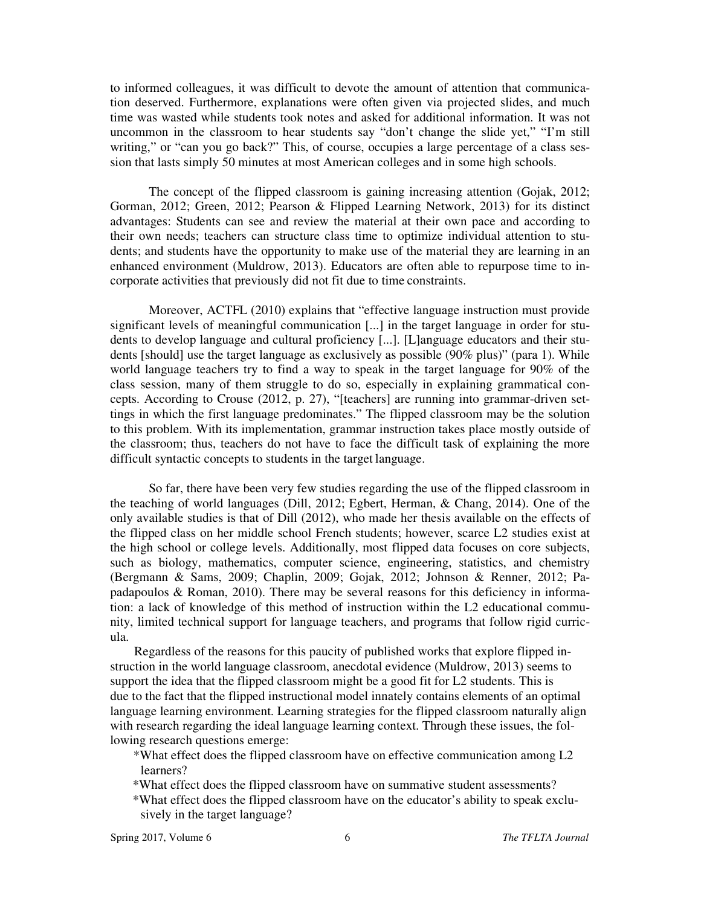to informed colleagues, it was difficult to devote the amount of attention that communication deserved. Furthermore, explanations were often given via projected slides, and much time was wasted while students took notes and asked for additional information. It was not uncommon in the classroom to hear students say "don't change the slide yet," "I'm still writing," or "can you go back?" This, of course, occupies a large percentage of a class session that lasts simply 50 minutes at most American colleges and in some high schools.

The concept of the flipped classroom is gaining increasing attention (Gojak, 2012; Gorman, 2012; Green, 2012; Pearson & Flipped Learning Network, 2013) for its distinct advantages: Students can see and review the material at their own pace and according to their own needs; teachers can structure class time to optimize individual attention to students; and students have the opportunity to make use of the material they are learning in an enhanced environment (Muldrow, 2013). Educators are often able to repurpose time to incorporate activities that previously did not fit due to time constraints.

Moreover, ACTFL (2010) explains that "effective language instruction must provide significant levels of meaningful communication [...] in the target language in order for students to develop language and cultural proficiency [...]. [L]anguage educators and their students [should] use the target language as exclusively as possible (90% plus)" (para 1). While world language teachers try to find a way to speak in the target language for 90% of the class session, many of them struggle to do so, especially in explaining grammatical concepts. According to Crouse (2012, p. 27), "[teachers] are running into grammar-driven settings in which the first language predominates." The flipped classroom may be the solution to this problem. With its implementation, grammar instruction takes place mostly outside of the classroom; thus, teachers do not have to face the difficult task of explaining the more difficult syntactic concepts to students in the target language.

So far, there have been very few studies regarding the use of the flipped classroom in the teaching of world languages (Dill, 2012; Egbert, Herman, & Chang, 2014). One of the only available studies is that of Dill (2012), who made her thesis available on the effects of the flipped class on her middle school French students; however, scarce L2 studies exist at the high school or college levels. Additionally, most flipped data focuses on core subjects, such as biology, mathematics, computer science, engineering, statistics, and chemistry (Bergmann & Sams, 2009; Chaplin, 2009; Gojak, 2012; Johnson & Renner, 2012; Papadapoulos & Roman, 2010). There may be several reasons for this deficiency in information: a lack of knowledge of this method of instruction within the L2 educational community, limited technical support for language teachers, and programs that follow rigid curricula.

Regardless of the reasons for this paucity of published works that explore flipped instruction in the world language classroom, anecdotal evidence (Muldrow, 2013) seems to support the idea that the flipped classroom might be a good fit for L2 students. This is due to the fact that the flipped instructional model innately contains elements of an optimal language learning environment. Learning strategies for the flipped classroom naturally align with research regarding the ideal language learning context. Through these issues, the following research questions emerge:

- \*What effect does the flipped classroom have on effective communication among L2 learners?
- \*What effect does the flipped classroom have on summative student assessments?
- \*What effect does the flipped classroom have on the educator's ability to speak exclusively in the target language?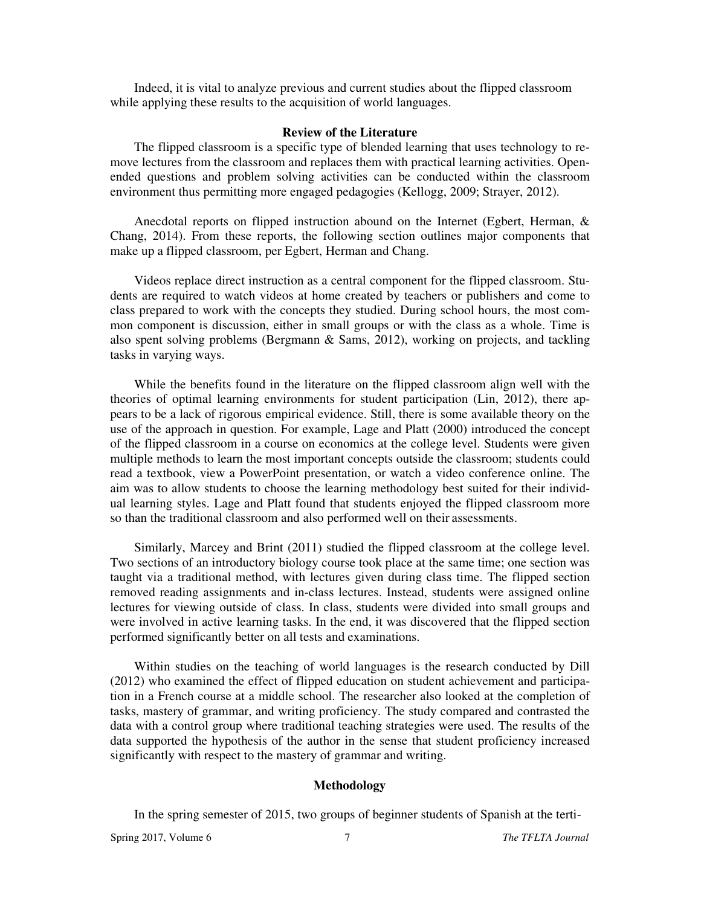Indeed, it is vital to analyze previous and current studies about the flipped classroom while applying these results to the acquisition of world languages.

#### **Review of the Literature**

The flipped classroom is a specific type of blended learning that uses technology to remove lectures from the classroom and replaces them with practical learning activities. Openended questions and problem solving activities can be conducted within the classroom environment thus permitting more engaged pedagogies (Kellogg, 2009; Strayer, 2012).

Anecdotal reports on flipped instruction abound on the Internet (Egbert, Herman, & Chang, 2014). From these reports, the following section outlines major components that make up a flipped classroom, per Egbert, Herman and Chang.

Videos replace direct instruction as a central component for the flipped classroom. Students are required to watch videos at home created by teachers or publishers and come to class prepared to work with the concepts they studied. During school hours, the most common component is discussion, either in small groups or with the class as a whole. Time is also spent solving problems (Bergmann & Sams, 2012), working on projects, and tackling tasks in varying ways.

While the benefits found in the literature on the flipped classroom align well with the theories of optimal learning environments for student participation (Lin, 2012), there appears to be a lack of rigorous empirical evidence. Still, there is some available theory on the use of the approach in question. For example, Lage and Platt (2000) introduced the concept of the flipped classroom in a course on economics at the college level. Students were given multiple methods to learn the most important concepts outside the classroom; students could read a textbook, view a PowerPoint presentation, or watch a video conference online. The aim was to allow students to choose the learning methodology best suited for their individual learning styles. Lage and Platt found that students enjoyed the flipped classroom more so than the traditional classroom and also performed well on their assessments.

Similarly, Marcey and Brint (2011) studied the flipped classroom at the college level. Two sections of an introductory biology course took place at the same time; one section was taught via a traditional method, with lectures given during class time. The flipped section removed reading assignments and in-class lectures. Instead, students were assigned online lectures for viewing outside of class. In class, students were divided into small groups and were involved in active learning tasks. In the end, it was discovered that the flipped section performed significantly better on all tests and examinations.

Within studies on the teaching of world languages is the research conducted by Dill (2012) who examined the effect of flipped education on student achievement and participation in a French course at a middle school. The researcher also looked at the completion of tasks, mastery of grammar, and writing proficiency. The study compared and contrasted the data with a control group where traditional teaching strategies were used. The results of the data supported the hypothesis of the author in the sense that student proficiency increased significantly with respect to the mastery of grammar and writing.

# **Methodology**

In the spring semester of 2015, two groups of beginner students of Spanish at the terti-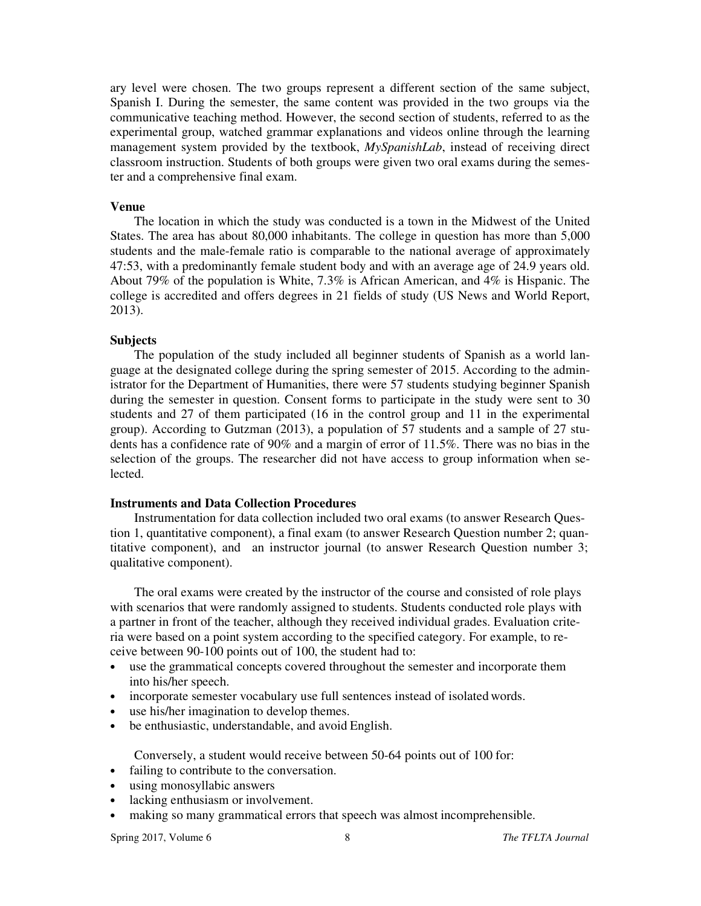ary level were chosen. The two groups represent a different section of the same subject, Spanish I. During the semester, the same content was provided in the two groups via the communicative teaching method. However, the second section of students, referred to as the experimental group, watched grammar explanations and videos online through the learning management system provided by the textbook, *MySpanishLab*, instead of receiving direct classroom instruction. Students of both groups were given two oral exams during the semester and a comprehensive final exam.

#### **Venue**

The location in which the study was conducted is a town in the Midwest of the United States. The area has about 80,000 inhabitants. The college in question has more than 5,000 students and the male-female ratio is comparable to the national average of approximately 47:53, with a predominantly female student body and with an average age of 24.9 years old. About 79% of the population is White, 7.3% is African American, and 4% is Hispanic. The college is accredited and offers degrees in 21 fields of study (US News and World Report, 2013).

# **Subjects**

The population of the study included all beginner students of Spanish as a world language at the designated college during the spring semester of 2015. According to the administrator for the Department of Humanities, there were 57 students studying beginner Spanish during the semester in question. Consent forms to participate in the study were sent to 30 students and 27 of them participated (16 in the control group and 11 in the experimental group). According to Gutzman (2013), a population of 57 students and a sample of 27 students has a confidence rate of 90% and a margin of error of 11.5%. There was no bias in the selection of the groups. The researcher did not have access to group information when selected.

# **Instruments and Data Collection Procedures**

Instrumentation for data collection included two oral exams (to answer Research Question 1, quantitative component), a final exam (to answer Research Question number 2; quantitative component), and an instructor journal (to answer Research Question number 3; qualitative component).

The oral exams were created by the instructor of the course and consisted of role plays with scenarios that were randomly assigned to students. Students conducted role plays with a partner in front of the teacher, although they received individual grades. Evaluation criteria were based on a point system according to the specified category. For example, to receive between 90-100 points out of 100, the student had to:

- use the grammatical concepts covered throughout the semester and incorporate them into his/her speech.
- incorporate semester vocabulary use full sentences instead of isolated words.
- use his/her imagination to develop themes.
- be enthusiastic, understandable, and avoid English.

Conversely, a student would receive between 50-64 points out of 100 for:

- failing to contribute to the conversation.
- using monosyllabic answers
- lacking enthusiasm or involvement.
- making so many grammatical errors that speech was almost incomprehensible.

Spring 2017, Volume 6 8 **8 The TFLTA Journal**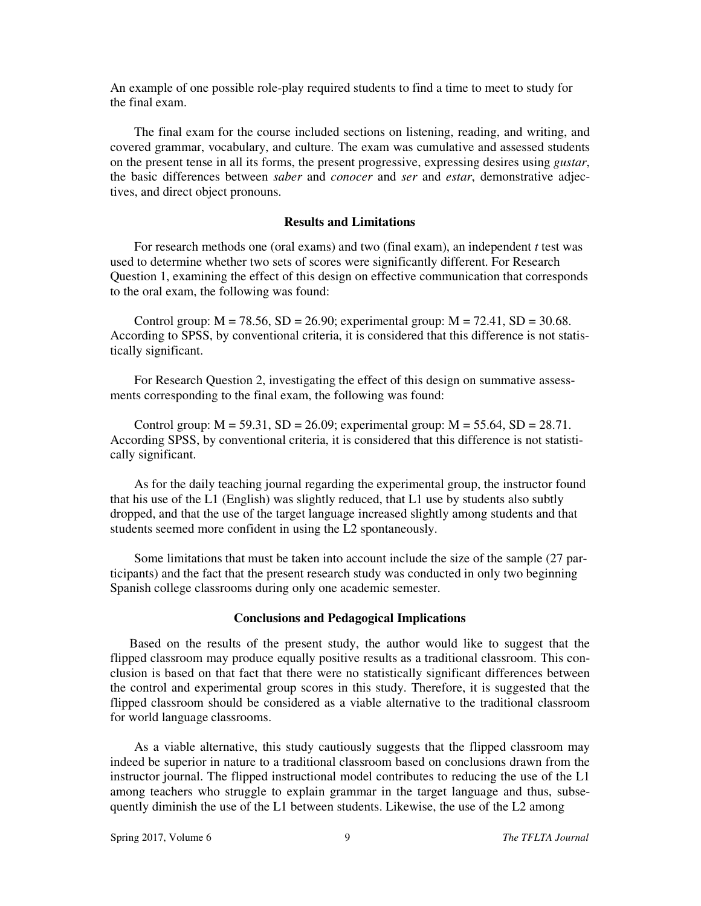An example of one possible role-play required students to find a time to meet to study for the final exam.

The final exam for the course included sections on listening, reading, and writing, and covered grammar, vocabulary, and culture. The exam was cumulative and assessed students on the present tense in all its forms, the present progressive, expressing desires using *gustar*, the basic differences between *saber* and *conocer* and *ser* and *estar*, demonstrative adjectives, and direct object pronouns.

# **Results and Limitations**

For research methods one (oral exams) and two (final exam), an independent *t* test was used to determine whether two sets of scores were significantly different. For Research Question 1, examining the effect of this design on effective communication that corresponds to the oral exam, the following was found:

Control group:  $M = 78.56$ ,  $SD = 26.90$ ; experimental group:  $M = 72.41$ ,  $SD = 30.68$ . According to SPSS, by conventional criteria, it is considered that this difference is not statistically significant.

For Research Question 2, investigating the effect of this design on summative assessments corresponding to the final exam, the following was found:

Control group:  $M = 59.31$ ,  $SD = 26.09$ ; experimental group:  $M = 55.64$ ,  $SD = 28.71$ . According SPSS, by conventional criteria, it is considered that this difference is not statistically significant.

As for the daily teaching journal regarding the experimental group, the instructor found that his use of the L1 (English) was slightly reduced, that L1 use by students also subtly dropped, and that the use of the target language increased slightly among students and that students seemed more confident in using the L2 spontaneously.

Some limitations that must be taken into account include the size of the sample (27 participants) and the fact that the present research study was conducted in only two beginning Spanish college classrooms during only one academic semester.

#### **Conclusions and Pedagogical Implications**

Based on the results of the present study, the author would like to suggest that the flipped classroom may produce equally positive results as a traditional classroom. This conclusion is based on that fact that there were no statistically significant differences between the control and experimental group scores in this study. Therefore, it is suggested that the flipped classroom should be considered as a viable alternative to the traditional classroom for world language classrooms.

As a viable alternative, this study cautiously suggests that the flipped classroom may indeed be superior in nature to a traditional classroom based on conclusions drawn from the instructor journal. The flipped instructional model contributes to reducing the use of the L1 among teachers who struggle to explain grammar in the target language and thus, subsequently diminish the use of the L1 between students. Likewise, the use of the L2 among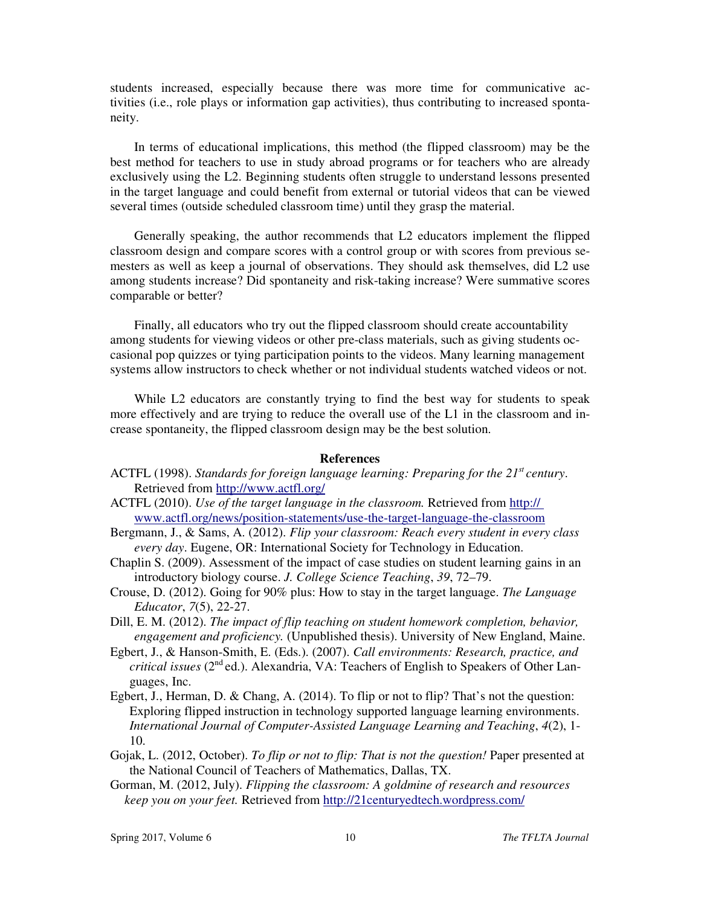students increased, especially because there was more time for communicative activities (i.e., role plays or information gap activities), thus contributing to increased spontaneity.

In terms of educational implications, this method (the flipped classroom) may be the best method for teachers to use in study abroad programs or for teachers who are already exclusively using the L2. Beginning students often struggle to understand lessons presented in the target language and could benefit from external or tutorial videos that can be viewed several times (outside scheduled classroom time) until they grasp the material.

Generally speaking, the author recommends that L2 educators implement the flipped classroom design and compare scores with a control group or with scores from previous semesters as well as keep a journal of observations. They should ask themselves, did L2 use among students increase? Did spontaneity and risk-taking increase? Were summative scores comparable or better?

Finally, all educators who try out the flipped classroom should create accountability among students for viewing videos or other pre-class materials, such as giving students occasional pop quizzes or tying participation points to the videos. Many learning management systems allow instructors to check whether or not individual students watched videos or not.

While L2 educators are constantly trying to find the best way for students to speak more effectively and are trying to reduce the overall use of the L1 in the classroom and increase spontaneity, the flipped classroom design may be the best solution.

#### **References**

- ACTFL (1998). *Standards for foreign language learning: Preparing for the 21st century*. Retrieved from http://www.actfl.org/
- ACTFL (2010). *Use of the target language in the classroom.* Retrieved from http:// www.actfl.org/news/position-statements/use-the-target-language-the-classroom
- Bergmann, J., & Sams, A. (2012). *Flip your classroom: Reach every student in every class every day*. Eugene, OR: International Society for Technology in Education.
- Chaplin S. (2009). Assessment of the impact of case studies on student learning gains in an introductory biology course. *J. College Science Teaching*, *39*, 72–79.
- Crouse, D. (2012). Going for 90% plus: How to stay in the target language. *The Language Educator*, *7*(5), 22-27.
- Dill, E. M. (2012). *The impact of flip teaching on student homework completion, behavior, engagement and proficiency.* (Unpublished thesis). University of New England, Maine.
- Egbert, J., & Hanson-Smith, E. (Eds.). (2007). *Call environments: Research, practice, and critical issues* ( $2<sup>nd</sup>$ ed.). Alexandria, VA: Teachers of English to Speakers of Other Languages, Inc.
- Egbert, J., Herman, D. & Chang, A. (2014). To flip or not to flip? That's not the question: Exploring flipped instruction in technology supported language learning environments. *International Journal of Computer-Assisted Language Learning and Teaching*, *4*(2), 1- 10.
- Gojak, L. (2012, October). *To flip or not to flip: That is not the question!* Paper presented at the National Council of Teachers of Mathematics, Dallas, TX.
- Gorman, M. (2012, July). *Flipping the classroom: A goldmine of research and resources keep you on your feet.* Retrieved from http://21centuryedtech.wordpress.com/